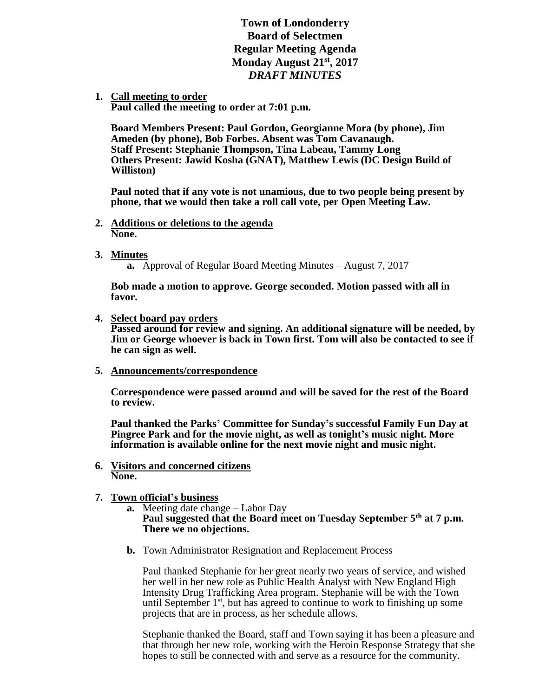**Town of Londonderry Board of Selectmen Regular Meeting Agenda Monday August 21st, 2017** *DRAFT MINUTES*

**1. Call meeting to order** 

**Paul called the meeting to order at 7:01 p.m.**

**Board Members Present: Paul Gordon, Georgianne Mora (by phone), Jim Ameden (by phone), Bob Forbes. Absent was Tom Cavanaugh. Staff Present: Stephanie Thompson, Tina Labeau, Tammy Long Others Present: Jawid Kosha (GNAT), Matthew Lewis (DC Design Build of Williston)**

**Paul noted that if any vote is not unamious, due to two people being present by phone, that we would then take a roll call vote, per Open Meeting Law.** 

- **2. Additions or deletions to the agenda None.**
- **3. Minutes**

**a.** Approval of Regular Board Meeting Minutes – August 7, 2017

**Bob made a motion to approve. George seconded. Motion passed with all in favor.** 

**4. Select board pay orders**

**Passed around for review and signing. An additional signature will be needed, by Jim or George whoever is back in Town first. Tom will also be contacted to see if he can sign as well.** 

**5. Announcements/correspondence**

**Correspondence were passed around and will be saved for the rest of the Board to review.**

**Paul thanked the Parks' Committee for Sunday's successful Family Fun Day at Pingree Park and for the movie night, as well as tonight's music night. More information is available online for the next movie night and music night.** 

**6. Visitors and concerned citizens None.** 

# **7. Town official's business**

- **a.** Meeting date change Labor Day **Paul suggested that the Board meet on Tuesday September 5th at 7 p.m. There we no objections.**
- **b.** Town Administrator Resignation and Replacement Process

Paul thanked Stephanie for her great nearly two years of service, and wished her well in her new role as Public Health Analyst with New England High Intensity Drug Trafficking Area program. Stephanie will be with the Town until September  $1<sup>st</sup>$ , but has agreed to continue to work to finishing up some projects that are in process, as her schedule allows.

Stephanie thanked the Board, staff and Town saying it has been a pleasure and that through her new role, working with the Heroin Response Strategy that she hopes to still be connected with and serve as a resource for the community.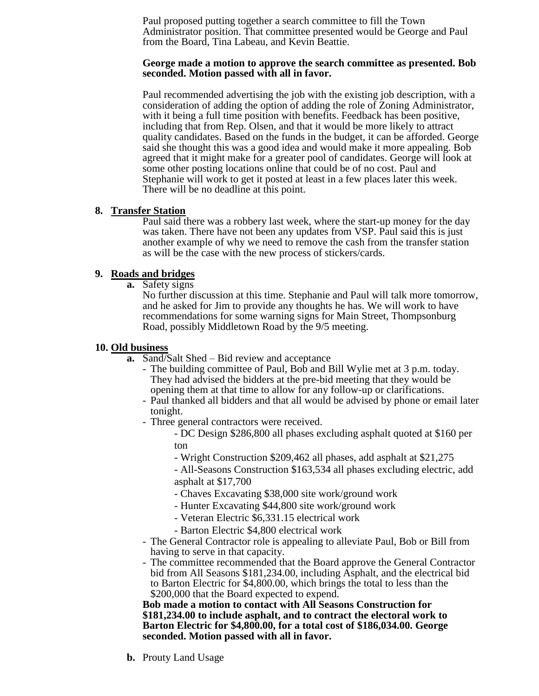Paul proposed putting together a search committee to fill the Town Administrator position. That committee presented would be George and Paul from the Board, Tina Labeau, and Kevin Beattie.

#### **George made a motion to approve the search committee as presented. Bob seconded. Motion passed with all in favor.**

Paul recommended advertising the job with the existing job description, with a consideration of adding the option of adding the role of Zoning Administrator, with it being a full time position with benefits. Feedback has been positive, including that from Rep. Olsen, and that it would be more likely to attract quality candidates. Based on the funds in the budget, it can be afforded. George said she thought this was a good idea and would make it more appealing. Bob agreed that it might make for a greater pool of candidates. George will look at some other posting locations online that could be of no cost. Paul and Stephanie will work to get it posted at least in a few places later this week. There will be no deadline at this point.

### **8. Transfer Station**

Paul said there was a robbery last week, where the start-up money for the day was taken. There have not been any updates from VSP. Paul said this is just another example of why we need to remove the cash from the transfer station as will be the case with the new process of stickers/cards.

### **9. Roads and bridges**

**a.** Safety signs

No further discussion at this time. Stephanie and Paul will talk more tomorrow, and he asked for Jim to provide any thoughts he has. We will work to have recommendations for some warning signs for Main Street, Thompsonburg Road, possibly Middletown Road by the 9/5 meeting.

### **10. Old business**

- **a.** Sand/Salt Shed Bid review and acceptance
	- The building committee of Paul, Bob and Bill Wylie met at 3 p.m. today. They had advised the bidders at the pre-bid meeting that they would be opening them at that time to allow for any follow-up or clarifications.
	- Paul thanked all bidders and that all would be advised by phone or email later tonight.
	- Three general contractors were received.
		- DC Design \$286,800 all phases excluding asphalt quoted at \$160 per ton
		- Wright Construction \$209,462 all phases, add asphalt at \$21,275

- All-Seasons Construction \$163,534 all phases excluding electric, add asphalt at \$17,700

- Chaves Excavating \$38,000 site work/ground work
- Hunter Excavating \$44,800 site work/ground work
- Veteran Electric \$6,331.15 electrical work
- Barton Electric \$4,800 electrical work
- The General Contractor role is appealing to alleviate Paul, Bob or Bill from having to serve in that capacity.
- The committee recommended that the Board approve the General Contractor bid from All Seasons \$181,234.00, including Asphalt, and the electrical bid to Barton Electric for \$4,800.00, which brings the total to less than the \$200,000 that the Board expected to expend.

**Bob made a motion to contact with All Seasons Construction for \$181,234.00 to include asphalt, and to contract the electoral work to Barton Electric for \$4,800.00, for a total cost of \$186,034.00. George seconded. Motion passed with all in favor.** 

**b.** Prouty Land Usage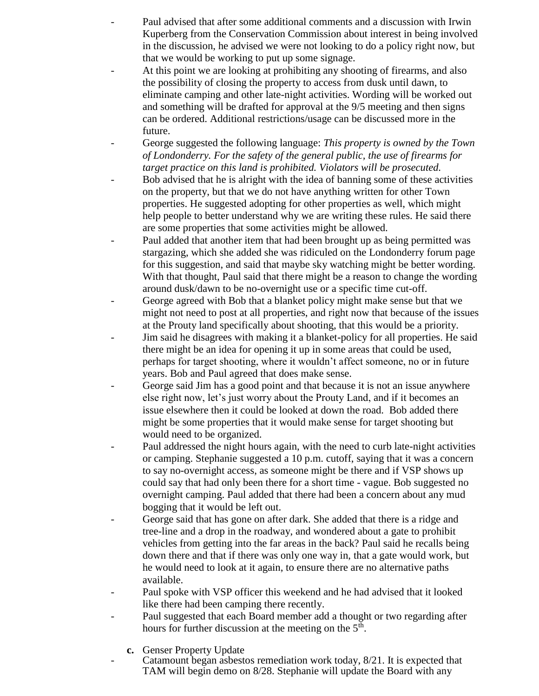- Paul advised that after some additional comments and a discussion with Irwin Kuperberg from the Conservation Commission about interest in being involved in the discussion, he advised we were not looking to do a policy right now, but that we would be working to put up some signage.
- At this point we are looking at prohibiting any shooting of firearms, and also the possibility of closing the property to access from dusk until dawn, to eliminate camping and other late-night activities. Wording will be worked out and something will be drafted for approval at the 9/5 meeting and then signs can be ordered. Additional restrictions/usage can be discussed more in the future.
- George suggested the following language: *This property is owned by the Town of Londonderry. For the safety of the general public, the use of firearms for target practice on this land is prohibited. Violators will be prosecuted.*
- Bob advised that he is alright with the idea of banning some of these activities on the property, but that we do not have anything written for other Town properties. He suggested adopting for other properties as well, which might help people to better understand why we are writing these rules. He said there are some properties that some activities might be allowed.
- Paul added that another item that had been brought up as being permitted was stargazing, which she added she was ridiculed on the Londonderry forum page for this suggestion, and said that maybe sky watching might be better wording. With that thought, Paul said that there might be a reason to change the wording around dusk/dawn to be no-overnight use or a specific time cut-off.
- George agreed with Bob that a blanket policy might make sense but that we might not need to post at all properties, and right now that because of the issues at the Prouty land specifically about shooting, that this would be a priority.
- Jim said he disagrees with making it a blanket-policy for all properties. He said there might be an idea for opening it up in some areas that could be used, perhaps for target shooting, where it wouldn't affect someone, no or in future years. Bob and Paul agreed that does make sense.
- George said Jim has a good point and that because it is not an issue anywhere else right now, let's just worry about the Prouty Land, and if it becomes an issue elsewhere then it could be looked at down the road. Bob added there might be some properties that it would make sense for target shooting but would need to be organized.
- Paul addressed the night hours again, with the need to curb late-night activities or camping. Stephanie suggested a 10 p.m. cutoff, saying that it was a concern to say no-overnight access, as someone might be there and if VSP shows up could say that had only been there for a short time - vague. Bob suggested no overnight camping. Paul added that there had been a concern about any mud bogging that it would be left out.
- George said that has gone on after dark. She added that there is a ridge and tree-line and a drop in the roadway, and wondered about a gate to prohibit vehicles from getting into the far areas in the back? Paul said he recalls being down there and that if there was only one way in, that a gate would work, but he would need to look at it again, to ensure there are no alternative paths available.
- Paul spoke with VSP officer this weekend and he had advised that it looked like there had been camping there recently.
- Paul suggested that each Board member add a thought or two regarding after hours for further discussion at the meeting on the 5<sup>th</sup>.
	- **c.** Genser Property Update
	- Catamount began asbestos remediation work today,  $8/21$ . It is expected that TAM will begin demo on 8/28. Stephanie will update the Board with any